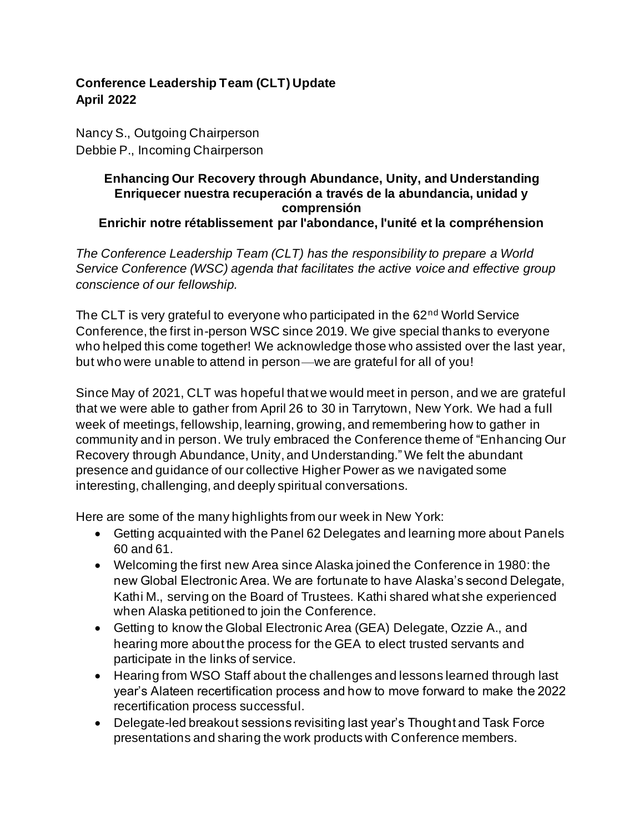## **Conference Leadership Team (CLT) Update April 2022**

Nancy S., Outgoing Chairperson Debbie P., Incoming Chairperson

## **Enhancing Our Recovery through Abundance, Unity, and Understanding Enriquecer nuestra recuperación a través de la abundancia, unidad y comprensión Enrichir notre rétablissement par l'abondance, l'unité et la compréhension**

*The Conference Leadership Team (CLT) has the responsibility to prepare a World Service Conference (WSC) agenda that facilitates the active voice and effective group conscience of our fellowship.*

The CLT is very grateful to everyone who participated in the 62<sup>nd</sup> World Service Conference, the first in-person WSC since 2019. We give special thanks to everyone who helped this come together! We acknowledge those who assisted over the last year, but who were unable to attend in person—we are grateful for all of you!

Since May of 2021, CLT was hopeful that we would meet in person, and we are grateful that we were able to gather from April 26 to 30 in Tarrytown, New York. We had a full week of meetings, fellowship, learning, growing, and remembering how to gather in community and in person. We truly embraced the Conference theme of "Enhancing Our Recovery through Abundance, Unity, and Understanding." We felt the abundant presence and guidance of our collective Higher Power as we navigated some interesting, challenging, and deeply spiritual conversations.

Here are some of the many highlights from our week in New York:

- Getting acquainted with the Panel 62 Delegates and learning more about Panels 60 and 61.
- Welcoming the first new Area since Alaska joined the Conference in 1980: the new Global Electronic Area. We are fortunate to have Alaska's second Delegate, Kathi M., serving on the Board of Trustees. Kathi shared what she experienced when Alaska petitioned to join the Conference.
- Getting to know the Global Electronic Area (GEA) Delegate, Ozzie A., and hearing more about the process for the GEA to elect trusted servants and participate in the links of service.
- Hearing from WSO Staff about the challenges and lessons learned through last year's Alateen recertification process and how to move forward to make the 2022 recertification process successful.
- Delegate-led breakout sessions revisiting last year's Thought and Task Force presentations and sharing the work products with Conference members.